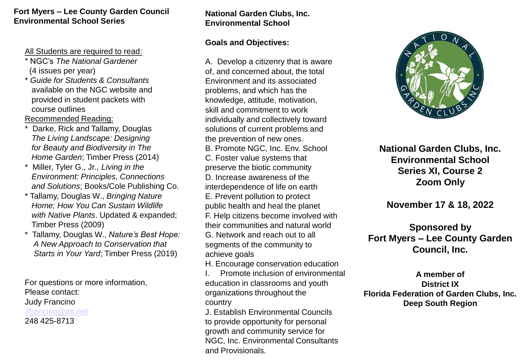#### **Fort Myers – Lee County Garden Council Environmental School Series**

All Students are required to read:

- \* NGC's *The National Gardener*  (4 issues per year)
- \* *Guide for Students & Consultants*  available on the NGC website and provided in student packets with course outlines

Recommended Reading:

- Darke, Rick and Tallamy, Douglas *The Living Landscape: Designing for Beauty and Biodiversity in The Home Garden*; Timber Press (2014)
- \* Miller, Tyler G., Jr*., Living in the Environment: Principles, Connections and Solutions*; Books/Cole Publishing Co.
- \* Tallamy, Douglas W., *Bringing Nature Home; How You Can Sustain Wildlife with Native Plants*. Updated & expanded; Timber Press (2009)
- \* Tallamy, Douglas W., *Nature's Best Hope: A New Approach to Conservation that Starts in Your Yard*; Timber Press (2019)

For questions or more information, Please contact: Judy Francino [Jfrancino@att.net](mailto:Jfrancino@att.net) 248 425-8713

### **National Garden Clubs, Inc. Environmental School**

#### **Goals and Objectives:**

A. Develop a citizenry that is aware of, and concerned about, the total Environment and its associated problems, and which has the knowledge, attitude, motivation, skill and commitment to work individually and collectively toward solutions of current problems and the prevention of new ones. B. Promote NGC, Inc. Env. School C. Foster value systems that preserve the biotic community D. Increase awareness of the interdependence of life on earth E. Prevent pollution to protect public health and heal the planet F. Help citizens become involved with their communities and natural world G. Network and reach out to all segments of the community to achieve goals H. Encourage conservation education

I. Promote inclusion of environmental education in classrooms and youth organizations throughout the country

J. Establish Environmental Councils to provide opportunity for personal growth and community service for NGC, Inc. Environmental Consultants and Provisionals.



**National Garden Clubs, Inc. Environmental School Series XI, Course 2 Zoom Only**

## **November 17 & 18, 2022**

## **Sponsored by Fort Myers – Lee County Garden Council, Inc.**

**A member of District IX Florida Federation of Garden Clubs, Inc. Deep South Region**